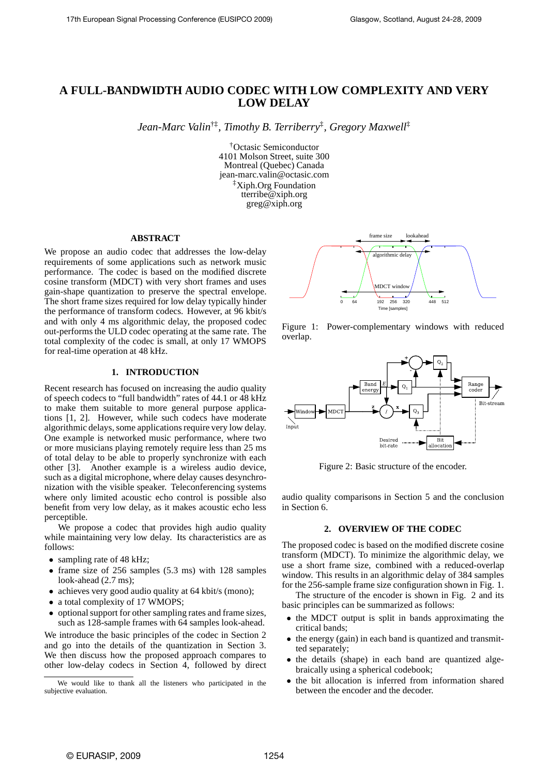# **A FULL-BANDWIDTH AUDIO CODEC WITH LOW COMPLEXITY AND VERY LOW DELAY**

*Jean-Marc Valin*†‡*, Timothy B. Terriberry*‡ *, Gregory Maxwell*‡

†Octasic Semiconductor 4101 Molson Street, suite 300 Montreal (Quebec) Canada jean-marc.valin@octasic.com ‡Xiph.Org Foundation tterribe@xiph.org greg@xiph.org

# **ABSTRACT**

We propose an audio codec that addresses the low-delay requirements of some applications such as network music performance. The codec is based on the modified discrete cosine transform (MDCT) with very short frames and uses gain-shape quantization to preserve the spectral envelope. The short frame sizes required for low delay typically hinder the performance of transform codecs. However, at 96 kbit/s and with only 4 ms algorithmic delay, the proposed codec out-performs the ULD codec operating at the same rate. The total complexity of the codec is small, at only 17 WMOPS for real-time operation at 48 kHz.

# **1. INTRODUCTION**

Recent research has focused on increasing the audio quality of speech codecs to "full bandwidth" rates of 44.1 or 48 kHz to make them suitable to more general purpose applications [1, 2]. However, while such codecs have moderate algorithmic delays, some applications require very low delay. One example is networked music performance, where two or more musicians playing remotely require less than 25 ms of total delay to be able to properly synchronize with each other [3]. Another example is a wireless audio device, such as a digital microphone, where delay causes desynchronization with the visible speaker. Teleconferencing systems where only limited acoustic echo control is possible also benefit from very low delay, as it makes acoustic echo less perceptible.

We propose a codec that provides high audio quality while maintaining very low delay. Its characteristics are as follows:

- sampling rate of 48 kHz;
- frame size of 256 samples (5.3 ms) with 128 samples look-ahead (2.7 ms);
- achieves very good audio quality at 64 kbit/s (mono);
- a total complexity of 17 WMOPS;
- optional support for other sampling rates and frame sizes, such as 128-sample frames with 64 samples look-ahead.

We introduce the basic principles of the codec in Section 2 and go into the details of the quantization in Section 3. We then discuss how the proposed approach compares to other low-delay codecs in Section 4, followed by direct



Figure 1: Power-complementary windows with reduced overlap.



Figure 2: Basic structure of the encoder.

audio quality comparisons in Section 5 and the conclusion in Section 6.

# **2. OVERVIEW OF THE CODEC**

The proposed codec is based on the modified discrete cosine transform (MDCT). To minimize the algorithmic delay, we use a short frame size, combined with a reduced-overlap window. This results in an algorithmic delay of 384 samples for the 256-sample frame size configuration shown in Fig. 1.

The structure of the encoder is shown in Fig. 2 and its basic principles can be summarized as follows:

- the MDCT output is split in bands approximating the critical bands;
- the energy (gain) in each band is quantized and transmitted separately;
- the details (shape) in each band are quantized algebraically using a spherical codebook;
- the bit allocation is inferred from information shared between the encoder and the decoder.

We would like to thank all the listeners who participated in the subjective evaluation.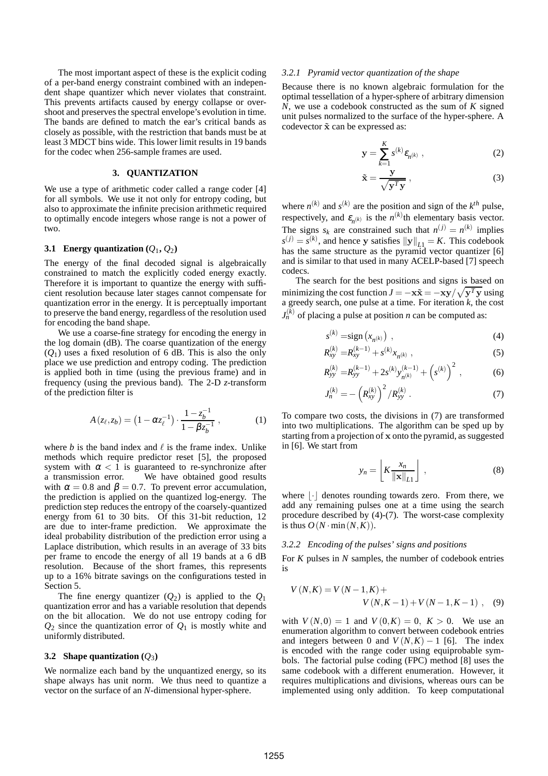The most important aspect of these is the explicit coding of a per-band energy constraint combined with an independent shape quantizer which never violates that constraint. This prevents artifacts caused by energy collapse or overshoot and preserves the spectral envelope's evolution in time. The bands are defined to match the ear's critical bands as closely as possible, with the restriction that bands must be at least 3 MDCT bins wide. This lower limit results in 19 bands for the codec when 256-sample frames are used.

# **3. QUANTIZATION**

We use a type of arithmetic coder called a range coder [4] for all symbols. We use it not only for entropy coding, but also to approximate the infinite precision arithmetic required to optimally encode integers whose range is not a power of two.

# **3.1 Energy quantization**  $(Q_1, Q_2)$

The energy of the final decoded signal is algebraically constrained to match the explicitly coded energy exactly. Therefore it is important to quantize the energy with sufficient resolution because later stages cannot compensate for quantization error in the energy. It is perceptually important to preserve the band energy, regardless of the resolution used for encoding the band shape.

We use a coarse-fine strategy for encoding the energy in the log domain (dB). The coarse quantization of the energy  $(Q_1)$  uses a fixed resolution of 6 dB. This is also the only place we use prediction and entropy coding. The prediction is applied both in time (using the previous frame) and in frequency (using the previous band). The 2-D *z*-transform of the prediction filter is

$$
A(z_{\ell}, z_b) = \left(1 - \alpha z_{\ell}^{-1}\right) \cdot \frac{1 - z_b^{-1}}{1 - \beta z_b^{-1}}, \tag{1}
$$

where  $b$  is the band index and  $\ell$  is the frame index. Unlike methods which require predictor reset [5], the proposed system with  $\alpha < 1$  is guaranteed to re-synchronize after a transmission error. We have obtained good results with  $\alpha = 0.8$  and  $\beta = 0.7$ . To prevent error accumulation, the prediction is applied on the quantized log-energy. The prediction step reduces the entropy of the coarsely-quantized energy from 61 to 30 bits. Of this 31-bit reduction, 12 are due to inter-frame prediction. We approximate the ideal probability distribution of the prediction error using a Laplace distribution, which results in an average of 33 bits per frame to encode the energy of all 19 bands at a 6 dB resolution. Because of the short frames, this represents up to a 16% bitrate savings on the configurations tested in Section 5.

The fine energy quantizer  $(Q_2)$  is applied to the  $Q_1$ quantization error and has a variable resolution that depends on the bit allocation. We do not use entropy coding for  $Q_2$  since the quantization error of  $Q_1$  is mostly white and uniformly distributed.

#### **3.2 Shape quantization**  $(Q_3)$

We normalize each band by the unquantized energy, so its shape always has unit norm. We thus need to quantize a vector on the surface of an *N*-dimensional hyper-sphere.

#### *3.2.1 Pyramid vector quantization of the shape*

Because there is no known algebraic formulation for the optimal tessellation of a hyper-sphere of arbitrary dimension *N*, we use a codebook constructed as the sum of *K* signed unit pulses normalized to the surface of the hyper-sphere. A codevector  $\tilde{\mathbf{x}}$  can be expressed as:

$$
\mathbf{y} = \sum_{k=1}^{K} s^{(k)} \mathbf{\varepsilon}_{n^{(k)}}, \qquad (2)
$$

$$
\tilde{\mathbf{x}} = \frac{\mathbf{y}}{\sqrt{\mathbf{y}^T \mathbf{y}}},\tag{3}
$$

where  $n^{(k)}$  and  $s^{(k)}$  are the position and sign of the  $k^{th}$  pulse, respectively, and  $\varepsilon_{n(k)}$  is the  $n^{(k)}$ th elementary basis vector. The signs  $s_k$  are constrained such that  $n^{(j)} = n^{(k)}$  implies  $s^{(j)} = s^{(k)}$ , and hence y satisfies  $||y||_{L1} = K$ . This codebook has the same structure as the pyramid vector quantizer [6] and is similar to that used in many ACELP-based [7] speech codecs.

The search for the best positions and signs is based on minimizing the cost function  $J = -\mathbf{x}\tilde{\mathbf{x}} = -\mathbf{x}\mathbf{y}/\sqrt{\mathbf{y}^T\mathbf{y}}$  using a greedy search, one pulse at a time. For iteration *k*, the cost  $J_n^{(k)}$  of placing a pulse at position *n* can be computed as:

$$
s^{(k)} = \text{sign}\left(x_{n^{(k)}}\right) \tag{4}
$$

$$
R_{xy}^{(k)} = R_{xy}^{(k-1)} + s^{(k)} x_{n^{(k)}}, \qquad (5)
$$

$$
R_{yy}^{(k)} = R_{yy}^{(k-1)} + 2s^{(k)}y_{n^{(k)}}^{(k-1)} + \left(s^{(k)}\right)^2, \tag{6}
$$

$$
J_n^{(k)} = -\left(R_{xy}^{(k)}\right)^2/R_{yy}^{(k)}.
$$
 (7)

To compare two costs, the divisions in (7) are transformed into two multiplications. The algorithm can be sped up by starting from a projection of x onto the pyramid, as suggested in [6]. We start from

$$
y_n = \left[ K \frac{x_n}{\|\mathbf{x}\|_{L1}} \right],\tag{8}
$$

where  $|\cdot|$  denotes rounding towards zero. From there, we add any remaining pulses one at a time using the search procedure described by (4)-(7). The worst-case complexity is thus  $O(N \cdot \min(N,K))$ .

#### *3.2.2 Encoding of the pulses' signs and positions*

For *K* pulses in *N* samples, the number of codebook entries is

$$
V(N,K) = V(N-1,K) + V(N, K-1) + V(N-1, K-1), (9)
$$

with  $V(N,0) = 1$  and  $V(0,K) = 0$ ,  $K > 0$ . We use an enumeration algorithm to convert between codebook entries and integers between 0 and  $V(N,K) - 1$  [6]. The index is encoded with the range coder using equiprobable symbols. The factorial pulse coding (FPC) method [8] uses the same codebook with a different enumeration. However, it requires multiplications and divisions, whereas ours can be implemented using only addition. To keep computational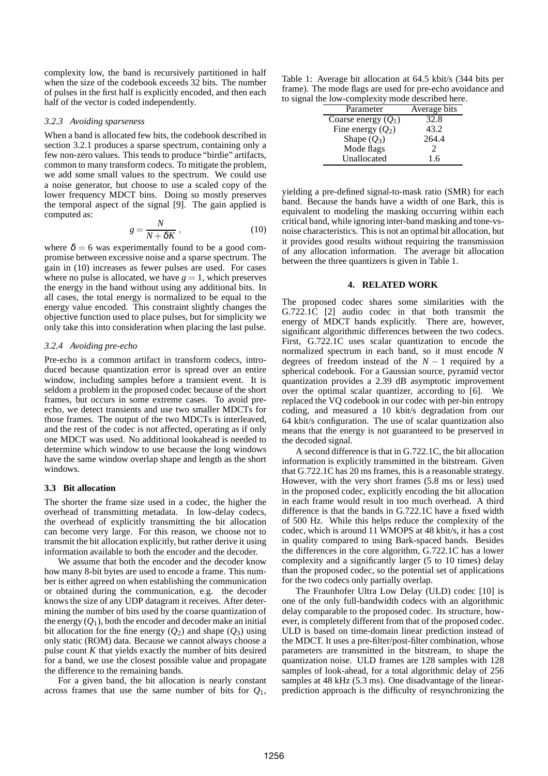complexity low, the band is recursively partitioned in half when the size of the codebook exceeds 32 bits. The number of pulses in the first half is explicitly encoded, and then each half of the vector is coded independently.

#### *3.2.3 Avoiding sparseness*

When a band is allocated few bits, the codebook described in section 3.2.1 produces a sparse spectrum, containing only a few non-zero values. This tends to produce "birdie" artifacts, common to many transform codecs. To mitigate the problem, we add some small values to the spectrum. We could use a noise generator, but choose to use a scaled copy of the lower frequency MDCT bins. Doing so mostly preserves the temporal aspect of the signal [9]. The gain applied is computed as:

$$
g = \frac{N}{N + \delta K} \,,\tag{10}
$$

where  $\delta = 6$  was experimentally found to be a good compromise between excessive noise and a sparse spectrum. The gain in (10) increases as fewer pulses are used. For cases where no pulse is allocated, we have  $g = 1$ , which preserves the energy in the band without using any additional bits. In all cases, the total energy is normalized to be equal to the energy value encoded. This constraint slightly changes the objective function used to place pulses, but for simplicity we only take this into consideration when placing the last pulse.

## *3.2.4 Avoiding pre-echo*

Pre-echo is a common artifact in transform codecs, introduced because quantization error is spread over an entire window, including samples before a transient event. It is seldom a problem in the proposed codec because of the short frames, but occurs in some extreme cases. To avoid preecho, we detect transients and use two smaller MDCTs for those frames. The output of the two MDCTs is interleaved, and the rest of the codec is not affected, operating as if only one MDCT was used. No additional lookahead is needed to determine which window to use because the long windows have the same window overlap shape and length as the short windows.

### **3.3 Bit allocation**

The shorter the frame size used in a codec, the higher the overhead of transmitting metadata. In low-delay codecs, the overhead of explicitly transmitting the bit allocation can become very large. For this reason, we choose not to transmit the bit allocation explicitly, but rather derive it using information available to both the encoder and the decoder.

We assume that both the encoder and the decoder know how many 8-bit bytes are used to encode a frame. This number is either agreed on when establishing the communication or obtained during the communication, e.g. the decoder knows the size of any UDP datagram it receives. After determining the number of bits used by the coarse quantization of the energy  $(Q_1)$ , both the encoder and decoder make an initial bit allocation for the fine energy  $(O_2)$  and shape  $(O_3)$  using only static (ROM) data. Because we cannot always choose a pulse count *K* that yields exactly the number of bits desired for a band, we use the closest possible value and propagate the difference to the remaining bands.

For a given band, the bit allocation is nearly constant across frames that use the same number of bits for *Q*1,

Table 1: Average bit allocation at 64.5 kbit/s (344 bits per frame). The mode flags are used for pre-echo avoidance and to signal the low-complexity mode described here.

| Parameter             | Average bits  |  |  |  |  |  |
|-----------------------|---------------|--|--|--|--|--|
| Coarse energy $(Q_1)$ | 32.8          |  |  |  |  |  |
| Fine energy $(Q_2)$   | 43.2          |  |  |  |  |  |
| Shape $(Q_3)$         | 264.4         |  |  |  |  |  |
| Mode flags            | $\mathcal{D}$ |  |  |  |  |  |
| Unallocated           | 16            |  |  |  |  |  |

yielding a pre-defined signal-to-mask ratio (SMR) for each band. Because the bands have a width of one Bark, this is equivalent to modeling the masking occurring within each critical band, while ignoring inter-band masking and tone-vsnoise characteristics. This is not an optimal bit allocation, but it provides good results without requiring the transmission of any allocation information. The average bit allocation between the three quantizers is given in Table 1.

#### **4. RELATED WORK**

The proposed codec shares some similarities with the G.722.1C [2] audio codec in that both transmit the energy of MDCT bands explicitly. There are, however, significant algorithmic differences between the two codecs. First, G.722.1C uses scalar quantization to encode the normalized spectrum in each band, so it must encode *N* degrees of freedom instead of the  $N-1$  required by a spherical codebook. For a Gaussian source, pyramid vector quantization provides a 2.39 dB asymptotic improvement over the optimal scalar quantizer, according to [6]. We replaced the VQ codebook in our codec with per-bin entropy coding, and measured a 10 kbit/s degradation from our 64 kbit/s configuration. The use of scalar quantization also means that the energy is not guaranteed to be preserved in the decoded signal.

A second difference is that in G.722.1C, the bit allocation information is explicitly transmitted in the bitstream. Given that G.722.1C has 20 ms frames, this is a reasonable strategy. However, with the very short frames (5.8 ms or less) used in the proposed codec, explicitly encoding the bit allocation in each frame would result in too much overhead. A third difference is that the bands in G.722.1C have a fixed width of 500 Hz. While this helps reduce the complexity of the codec, which is around 11 WMOPS at 48 kbit/s, it has a cost in quality compared to using Bark-spaced bands. Besides the differences in the core algorithm, G.722.1C has a lower complexity and a significantly larger (5 to 10 times) delay than the proposed codec, so the potential set of applications for the two codecs only partially overlap.

The Fraunhofer Ultra Low Delay (ULD) codec [10] is one of the only full-bandwidth codecs with an algorithmic delay comparable to the proposed codec. Its structure, however, is completely different from that of the proposed codec. ULD is based on time-domain linear prediction instead of the MDCT. It uses a pre-filter/post-filter combination, whose parameters are transmitted in the bitstream, to shape the quantization noise. ULD frames are 128 samples with 128 samples of look-ahead, for a total algorithmic delay of 256 samples at 48 kHz (5.3 ms). One disadvantage of the linearprediction approach is the difficulty of resynchronizing the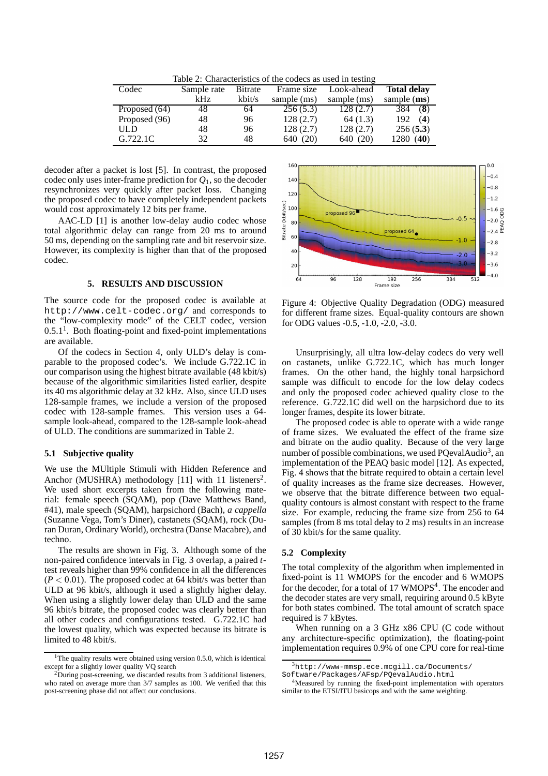Table 2: Characteristics of the codecs as used in testing

| Codec         | Sample rate | Bitrate | Frame size  | Look-ahead  | <b>Total delay</b> |
|---------------|-------------|---------|-------------|-------------|--------------------|
|               | kHz.        | kbit/s  | sample (ms) | sample (ms) | sample $(ms)$      |
| Proposed (64) | 48          | 64      | 256(5.3)    | 128(2.7)    | (8)<br>384         |
| Proposed (96) | 48          | 96      | 128(2.7)    | 64(1.3)     | 192<br>(4)         |
| ULD           | 48          | 96      | 128(2.7)    | 128(2.7)    | 256(5.3)           |
| G.722.1C      | 32          | 48      | 640 (20)    | 640 (20)    | 1280 (40)          |

decoder after a packet is lost [5]. In contrast, the proposed codec only uses inter-frame prediction for *Q*1, so the decoder resynchronizes very quickly after packet loss. Changing the proposed codec to have completely independent packets would cost approximately 12 bits per frame.

AAC-LD [1] is another low-delay audio codec whose total algorithmic delay can range from 20 ms to around 50 ms, depending on the sampling rate and bit reservoir size. However, its complexity is higher than that of the proposed codec.

## **5. RESULTS AND DISCUSSION**

The source code for the proposed codec is available at http://www.celt-codec.org/ and corresponds to the "low-complexity mode" of the CELT codec, version  $0.5.1<sup>1</sup>$ . Both floating-point and fixed-point implementations are available.

Of the codecs in Section 4, only ULD's delay is comparable to the proposed codec's. We include G.722.1C in our comparison using the highest bitrate available (48 kbit/s) because of the algorithmic similarities listed earlier, despite its 40 ms algorithmic delay at 32 kHz. Also, since ULD uses 128-sample frames, we include a version of the proposed codec with 128-sample frames. This version uses a 64 sample look-ahead, compared to the 128-sample look-ahead of ULD. The conditions are summarized in Table 2.

# **5.1 Subjective quality**

We use the MUltiple Stimuli with Hidden Reference and Anchor (MUSHRA) methodology [11] with 11 listeners<sup>2</sup>. We used short excerpts taken from the following material: female speech (SQAM), pop (Dave Matthews Band, #41), male speech (SQAM), harpsichord (Bach), *a cappella* (Suzanne Vega, Tom's Diner), castanets (SQAM), rock (Duran Duran, Ordinary World), orchestra (Danse Macabre), and techno.

The results are shown in Fig. 3. Although some of the non-paired confidence intervals in Fig. 3 overlap, a paired *t*test reveals higher than 99% confidence in all the differences  $(P < 0.01)$ . The proposed codec at 64 kbit/s was better than ULD at 96 kbit/s, although it used a slightly higher delay. When using a slightly lower delay than ULD and the same 96 kbit/s bitrate, the proposed codec was clearly better than all other codecs and configurations tested. G.722.1C had the lowest quality, which was expected because its bitrate is limited to 48 kbit/s.



Figure 4: Objective Quality Degradation (ODG) measured for different frame sizes. Equal-quality contours are shown for ODG values -0.5, -1.0, -2.0, -3.0.

Unsurprisingly, all ultra low-delay codecs do very well on castanets, unlike G.722.1C, which has much longer frames. On the other hand, the highly tonal harpsichord sample was difficult to encode for the low delay codecs and only the proposed codec achieved quality close to the reference. G.722.1C did well on the harpsichord due to its longer frames, despite its lower bitrate.

The proposed codec is able to operate with a wide range of frame sizes. We evaluated the effect of the frame size and bitrate on the audio quality. Because of the very large number of possible combinations, we used PQ evalAudio<sup>3</sup>, an implementation of the PEAO basic model [12]. As expected, Fig. 4 shows that the bitrate required to obtain a certain level of quality increases as the frame size decreases. However, we observe that the bitrate difference between two equalquality contours is almost constant with respect to the frame size. For example, reducing the frame size from 256 to 64 samples (from 8 ms total delay to 2 ms) results in an increase of 30 kbit/s for the same quality.

#### **5.2 Complexity**

The total complexity of the algorithm when implemented in fixed-point is 11 WMOPS for the encoder and 6 WMOPS for the decoder, for a total of 17 WMOPS<sup>4</sup>. The encoder and the decoder states are very small, requiring around 0.5 kByte for both states combined. The total amount of scratch space required is 7 kBytes.

When running on a 3 GHz x86 CPU (C code without any architecture-specific optimization), the floating-point implementation requires 0.9% of one CPU core for real-time

<sup>&</sup>lt;sup>1</sup>The quality results were obtained using version 0.5.0, which is identical except for a slightly lower quality VQ search

<sup>2</sup>During post-screening, we discarded results from 3 additional listeners, who rated on average more than  $3/7$  samples as 100. We verified that this post-screening phase did not affect our conclusions.

 $3$ http://www-mmsp.ece.mcgill.ca/Documents/

Software/Packages/AFsp/PQevalAudio.html

<sup>4</sup>Measured by running the fixed-point implementation with operators similar to the ETSI/ITU basicops and with the same weighting.